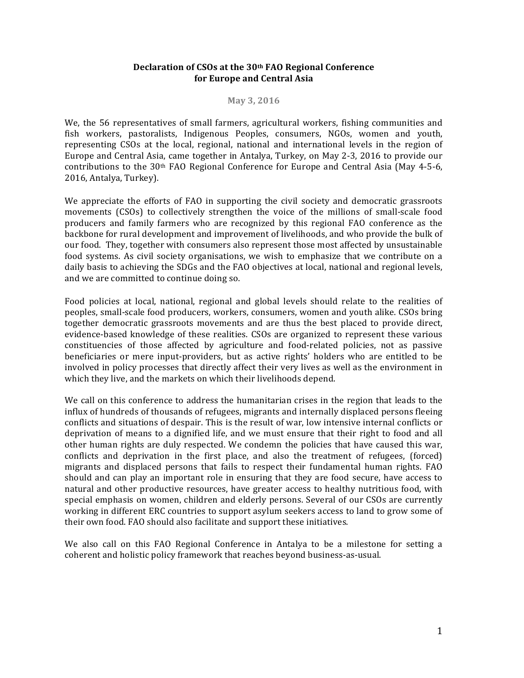### Declaration of CSOs at the 30<sup>th</sup> FAO Regional Conference **for Europe and Central Asia**

#### **May 3, 2016**

We, the 56 representatives of small farmers, agricultural workers, fishing communities and fish workers, pastoralists, Indigenous Peoples, consumers, NGOs, women and youth, representing CSOs at the local, regional, national and international levels in the region of Europe and Central Asia, came together in Antalya, Turkey, on May 2-3, 2016 to provide our contributions to the 30<sup>th</sup> FAO Regional Conference for Europe and Central Asia (May 4-5-6, 2016, Antalya, Turkey).

We appreciate the efforts of FAO in supporting the civil society and democratic grassroots movements (CSOs) to collectively strengthen the voice of the millions of small-scale food producers and family farmers who are recognized by this regional FAO conference as the backbone for rural development and improvement of livelihoods, and who provide the bulk of our food. They, together with consumers also represent those most affected by unsustainable food systems. As civil society organisations, we wish to emphasize that we contribute on a daily basis to achieving the SDGs and the FAO objectives at local, national and regional levels, and we are committed to continue doing so.

Food policies at local, national, regional and global levels should relate to the realities of peoples, small-scale food producers, workers, consumers, women and youth alike. CSOs bring together democratic grassroots movements and are thus the best placed to provide direct, evidence-based knowledge of these realities. CSOs are organized to represent these various constituencies of those affected by agriculture and food-related policies, not as passive beneficiaries or mere input-providers, but as active rights' holders who are entitled to be involved in policy processes that directly affect their very lives as well as the environment in which they live, and the markets on which their livelihoods depend.

We call on this conference to address the humanitarian crises in the region that leads to the influx of hundreds of thousands of refugees, migrants and internally displaced persons fleeing conflicts and situations of despair. This is the result of war, low intensive internal conflicts or deprivation of means to a dignified life, and we must ensure that their right to food and all other human rights are duly respected. We condemn the policies that have caused this war, conflicts and deprivation in the first place, and also the treatment of refugees, (forced) migrants and displaced persons that fails to respect their fundamental human rights. FAO should and can play an important role in ensuring that they are food secure, have access to natural and other productive resources, have greater access to healthy nutritious food, with special emphasis on women, children and elderly persons. Several of our CSOs are currently working in different ERC countries to support asylum seekers access to land to grow some of their own food. FAO should also facilitate and support these initiatives.

We also call on this FAO Regional Conference in Antalya to be a milestone for setting a coherent and holistic policy framework that reaches beyond business-as-usual.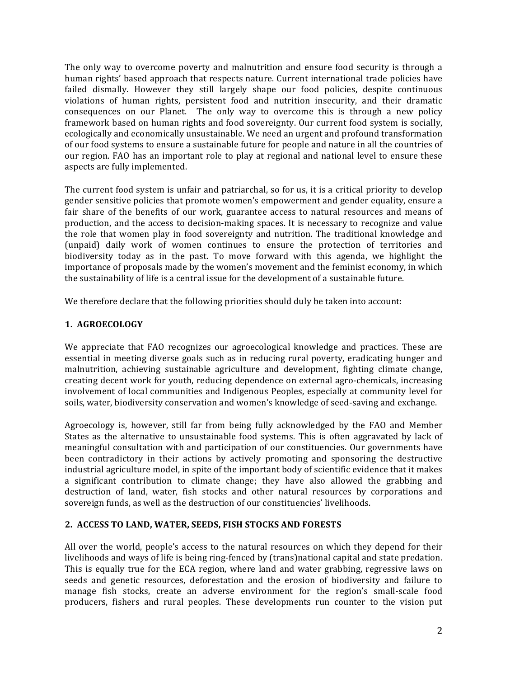The only way to overcome poverty and malnutrition and ensure food security is through a human rights' based approach that respects nature. Current international trade policies have failed dismally. However they still largely shape our food policies, despite continuous violations of human rights, persistent food and nutrition insecurity, and their dramatic consequences on our Planet. The only way to overcome this is through a new policy framework based on human rights and food sovereignty. Our current food system is socially, ecologically and economically unsustainable. We need an urgent and profound transformation of our food systems to ensure a sustainable future for people and nature in all the countries of our region. FAO has an important role to play at regional and national level to ensure these aspects are fully implemented.

The current food system is unfair and patriarchal, so for us, it is a critical priority to develop gender sensitive policies that promote women's empowerment and gender equality, ensure a fair share of the benefits of our work, guarantee access to natural resources and means of production, and the access to decision-making spaces. It is necessary to recognize and value the role that women play in food sovereignty and nutrition. The traditional knowledge and (unpaid) daily work of women continues to ensure the protection of territories and biodiversity today as in the past. To move forward with this agenda, we highlight the importance of proposals made by the women's movement and the feminist economy, in which the sustainability of life is a central issue for the development of a sustainable future.

We therefore declare that the following priorities should duly be taken into account:

# **1. AGROECOLOGY**

We appreciate that FAO recognizes our agroecological knowledge and practices. These are essential in meeting diverse goals such as in reducing rural poverty, eradicating hunger and malnutrition, achieving sustainable agriculture and development, fighting climate change, creating decent work for youth, reducing dependence on external agro-chemicals, increasing involvement of local communities and Indigenous Peoples, especially at community level for soils, water, biodiversity conservation and women's knowledge of seed-saving and exchange.

Agroecology is, however, still far from being fully acknowledged by the FAO and Member States as the alternative to unsustainable food systems. This is often aggravated by lack of meaningful consultation with and participation of our constituencies. Our governments have been contradictory in their actions by actively promoting and sponsoring the destructive industrial agriculture model, in spite of the important body of scientific evidence that it makes a significant contribution to climate change; they have also allowed the grabbing and destruction of land, water, fish stocks and other natural resources by corporations and sovereign funds, as well as the destruction of our constituencies' livelihoods.

# 2. ACCESS TO LAND, WATER, SEEDS, FISH STOCKS AND FORESTS

All over the world, people's access to the natural resources on which they depend for their livelihoods and ways of life is being ring-fenced by (trans)national capital and state predation. This is equally true for the ECA region, where land and water grabbing, regressive laws on seeds and genetic resources, deforestation and the erosion of biodiversity and failure to manage fish stocks, create an adverse environment for the region's small-scale food producers, fishers and rural peoples. These developments run counter to the vision put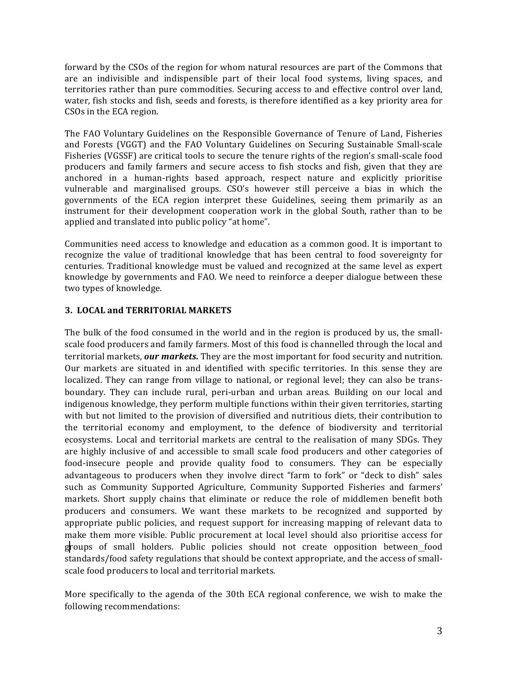forward by the CSOs of the region for whom natural resources are part of the Commons that are an indivisible and indispensible part of their local food systems, living spaces, and territories rather than pure commodities. Securing access to and effective control over land, water, fish stocks and fish, seeds and forests, is therefore identified as a key priority area for CSOs in the ECA region.

The FAO Voluntary Guidelines on the Responsible Governance of Tenure of Land, Fisheries and Forests (VGGT) and the FAO Voluntary Guidelines on Securing Sustainable Small-scale Fisheries (VGSSF) are critical tools to secure the tenure rights of the region's small-scale food producers and family farmers and secure access to fish stocks and fish, given that they are anchored in a human-rights based approach, respect nature and explicitly prioritise vulnerable and marginalised groups. CSO's however still perceive a bias in which the governments of the ECA region interpret these Guidelines, seeing them primarily as an instrument for their development cooperation work in the global South, rather than to be applied and translated into public policy "at home".

Communities need access to knowledge and education as a common good. It is important to recognize the value of traditional knowledge that has been central to food sovereignty for centuries. Traditional knowledge must be valued and recognized at the same level as expert knowledge by governments and FAO. We need to reinforce a deeper dialogue between these two types of knowledge.

## **3. LOCAL and TERRITORIAL MARKETS**

The bulk of the food consumed in the world and in the region is produced by us, the smallscale food producers and family farmers. Most of this food is channelled through the local and territorial markets, our markets. They are the most important for food security and nutrition. Our markets are situated in and identified with specific territories. In this sense they are localized. They can range from village to national, or regional level; they can also be transboundary. They can include rural, peri-urban and urban areas. Building on our local and indigenous knowledge, they perform multiple functions within their given territories, starting with but not limited to the provision of diversified and nutritious diets, their contribution to the territorial economy and employment, to the defence of biodiversity and territorial ecosystems. Local and territorial markets are central to the realisation of many SDGs. They are highly inclusive of and accessible to small scale food producers and other categories of food-insecure people and provide quality food to consumers. They can be especially advantageous to producers when they involve direct "farm to fork" or "deck to dish" sales such as Community Supported Agriculture, Community Supported Fisheries and farmers' markets. Short supply chains that eliminate or reduce the role of middlemen benefit both producers and consumers. We want these markets to be recognized and supported by appropriate public policies, and request support for increasing mapping of relevant data to make them more visible. Public procurement at local level should also prioritise access for groups of small holders. Public policies should not create opposition between food standards/food safety regulations that should be context appropriate, and the access of smallscale food producers to local and territorial markets.

More specifically to the agenda of the 30th ECA regional conference, we wish to make the following recommendations: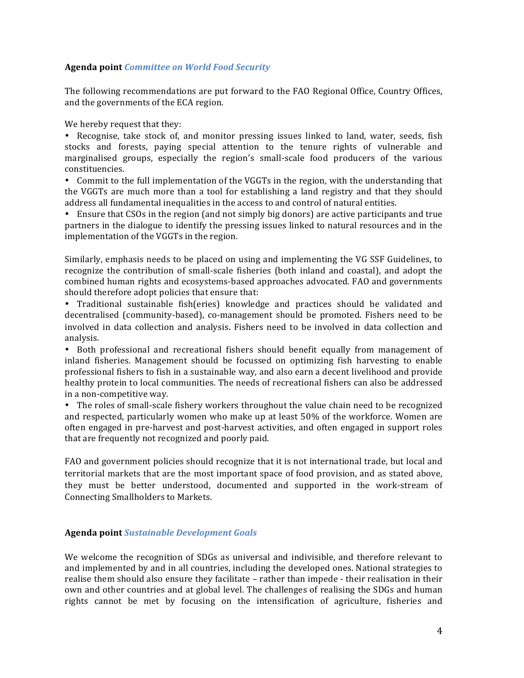### **Agenda point** *Committee on World Food Security*

The following recommendations are put forward to the FAO Regional Office, Country Offices, and the governments of the ECA region.

We hereby request that they:

• Recognise, take stock of, and monitor pressing issues linked to land, water, seeds, fish stocks and forests, paying special attention to the tenure rights of vulnerable and marginalised groups, especially the region's small-scale food producers of the various constituencies.

• Commit to the full implementation of the VGGTs in the region, with the understanding that the VGGTs are much more than a tool for establishing a land registry and that they should address all fundamental inequalities in the access to and control of natural entities.

• Ensure that CSOs in the region (and not simply big donors) are active participants and true partners in the dialogue to identify the pressing issues linked to natural resources and in the implementation of the VGGTs in the region.

Similarly, emphasis needs to be placed on using and implementing the VG SSF Guidelines, to recognize the contribution of small-scale fisheries (both inland and coastal), and adopt the combined human rights and ecosystems-based approaches advocated. FAO and governments should therefore adopt policies that ensure that:

• Traditional sustainable fish(eries) knowledge and practices should be validated and decentralised (community-based), co-management should be promoted. Fishers need to be involved in data collection and analysis. Fishers need to be involved in data collection and analysis.

• Both professional and recreational fishers should benefit equally from management of inland fisheries. Management should be focussed on optimizing fish harvesting to enable professional fishers to fish in a sustainable way, and also earn a decent livelihood and provide healthy protein to local communities. The needs of recreational fishers can also be addressed in a non-competitive way.

• The roles of small-scale fishery workers throughout the value chain need to be recognized and respected, particularly women who make up at least  $50\%$  of the workforce. Women are often engaged in pre-harvest and post-harvest activities, and often engaged in support roles that are frequently not recognized and poorly paid.

FAO and government policies should recognize that it is not international trade, but local and territorial markets that are the most important space of food provision, and as stated above, they must be better understood, documented and supported in the work-stream of Connecting Smallholders to Markets.

### **Agenda point** *Sustainable Development Goals*

We welcome the recognition of SDGs as universal and indivisible, and therefore relevant to and implemented by and in all countries, including the developed ones. National strategies to realise them should also ensure they facilitate - rather than impede - their realisation in their own and other countries and at global level. The challenges of realising the SDGs and human rights cannot be met by focusing on the intensification of agriculture, fisheries and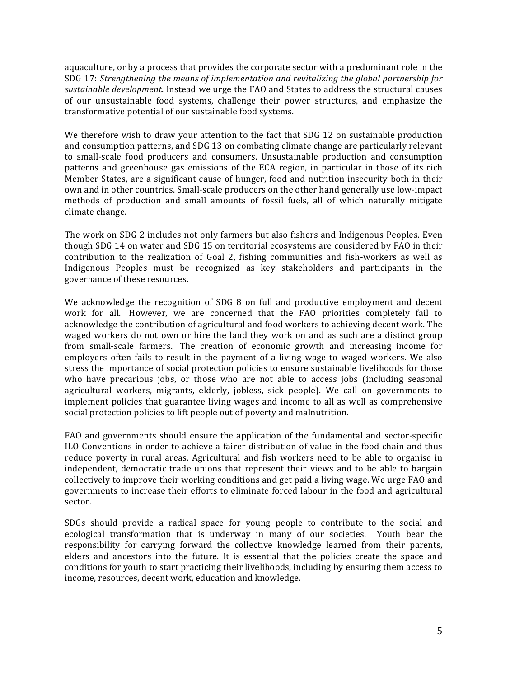aquaculture, or by a process that provides the corporate sector with a predominant role in the SDG 17: *Strengthening the means of implementation and revitalizing the global partnership for* sustainable development. Instead we urge the FAO and States to address the structural causes of our unsustainable food systems, challenge their power structures, and emphasize the transformative potential of our sustainable food systems.

We therefore wish to draw your attention to the fact that SDG 12 on sustainable production and consumption patterns, and SDG 13 on combating climate change are particularly relevant to small-scale food producers and consumers. Unsustainable production and consumption patterns and greenhouse gas emissions of the ECA region, in particular in those of its rich Member States, are a significant cause of hunger, food and nutrition insecurity both in their own and in other countries. Small-scale producers on the other hand generally use low-impact methods of production and small amounts of fossil fuels, all of which naturally mitigate climate change.

The work on SDG 2 includes not only farmers but also fishers and Indigenous Peoples. Even though SDG 14 on water and SDG 15 on territorial ecosystems are considered by FAO in their contribution to the realization of Goal 2, fishing communities and fish-workers as well as Indigenous Peoples must be recognized as key stakeholders and participants in the governance of these resources.

We acknowledge the recognition of SDG 8 on full and productive employment and decent work for all. However, we are concerned that the FAO priorities completely fail to acknowledge the contribution of agricultural and food workers to achieving decent work. The waged workers do not own or hire the land they work on and as such are a distinct group from small-scale farmers. The creation of economic growth and increasing income for employers often fails to result in the payment of a living wage to waged workers. We also stress the importance of social protection policies to ensure sustainable livelihoods for those who have precarious jobs, or those who are not able to access jobs (including seasonal agricultural workers, migrants, elderly, jobless, sick people). We call on governments to implement policies that guarantee living wages and income to all as well as comprehensive social protection policies to lift people out of poverty and malnutrition.

FAO and governments should ensure the application of the fundamental and sector-specific ILO Conventions in order to achieve a fairer distribution of value in the food chain and thus reduce poverty in rural areas. Agricultural and fish workers need to be able to organise in independent, democratic trade unions that represent their views and to be able to bargain collectively to improve their working conditions and get paid a living wage. We urge FAO and governments to increase their efforts to eliminate forced labour in the food and agricultural sector. 

SDGs should provide a radical space for young people to contribute to the social and ecological transformation that is underway in many of our societies. Youth bear the responsibility for carrying forward the collective knowledge learned from their parents, elders and ancestors into the future. It is essential that the policies create the space and conditions for youth to start practicing their livelihoods, including by ensuring them access to income, resources, decent work, education and knowledge.